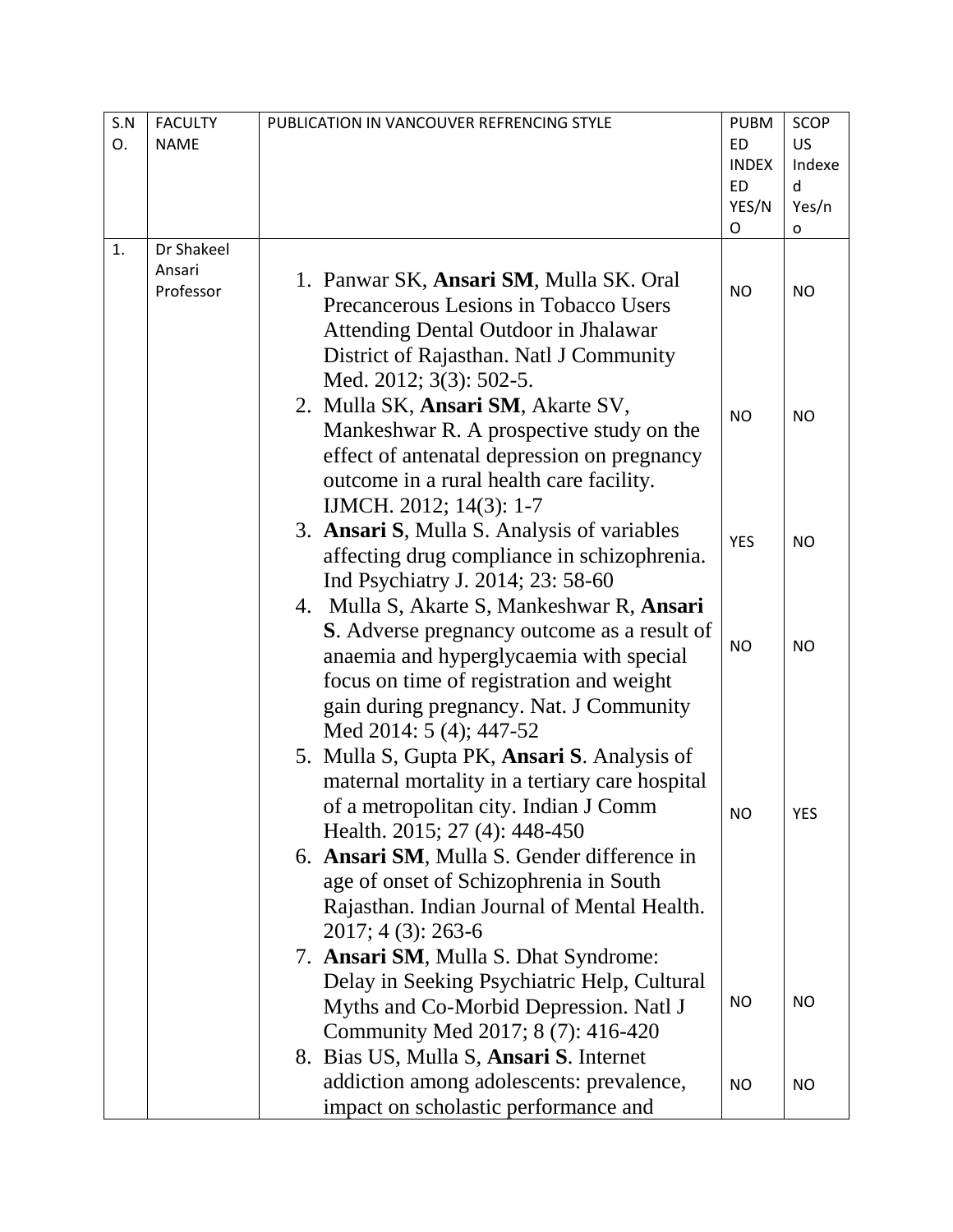| S.N | <b>FACULTY</b> | PUBLICATION IN VANCOUVER REFRENCING STYLE      | <b>PUBM</b>               | <b>SCOP</b> |
|-----|----------------|------------------------------------------------|---------------------------|-------------|
| O.  | <b>NAME</b>    |                                                | <b>ED</b>                 | <b>US</b>   |
|     |                |                                                | <b>INDEX</b><br><b>ED</b> | Indexe      |
|     |                |                                                | YES/N                     | d<br>Yes/n  |
|     |                |                                                | O                         | o           |
| 1.  | Dr Shakeel     |                                                |                           |             |
|     | Ansari         | 1. Panwar SK, Ansari SM, Mulla SK. Oral        |                           |             |
|     | Professor      | Precancerous Lesions in Tobacco Users          | <b>NO</b>                 | <b>NO</b>   |
|     |                | <b>Attending Dental Outdoor in Jhalawar</b>    |                           |             |
|     |                | District of Rajasthan. Natl J Community        |                           |             |
|     |                | Med. 2012; 3(3): 502-5.                        |                           |             |
|     |                | 2. Mulla SK, Ansari SM, Akarte SV,             |                           |             |
|     |                | Mankeshwar R. A prospective study on the       | <b>NO</b>                 | <b>NO</b>   |
|     |                |                                                |                           |             |
|     |                | effect of antenatal depression on pregnancy    |                           |             |
|     |                | outcome in a rural health care facility.       |                           |             |
|     |                | IJMCH. 2012; 14(3): 1-7                        |                           |             |
|     |                | 3. Ansari S, Mulla S. Analysis of variables    | <b>YES</b>                | <b>NO</b>   |
|     |                | affecting drug compliance in schizophrenia.    |                           |             |
|     |                | Ind Psychiatry J. 2014; 23: 58-60              |                           |             |
|     |                | 4. Mulla S, Akarte S, Mankeshwar R, Ansari     |                           |             |
|     |                | S. Adverse pregnancy outcome as a result of    | <b>NO</b>                 | <b>NO</b>   |
|     |                | anaemia and hyperglycaemia with special        |                           |             |
|     |                | focus on time of registration and weight       |                           |             |
|     |                | gain during pregnancy. Nat. J Community        |                           |             |
|     |                | Med 2014: 5 (4); 447-52                        |                           |             |
|     |                | 5. Mulla S, Gupta PK, Ansari S. Analysis of    |                           |             |
|     |                | maternal mortality in a tertiary care hospital |                           |             |
|     |                | of a metropolitan city. Indian J Comm          | NΟ                        | YES         |
|     |                | Health. 2015; 27 (4): 448-450                  |                           |             |
|     |                | 6. Ansari SM, Mulla S. Gender difference in    |                           |             |
|     |                | age of onset of Schizophrenia in South         |                           |             |
|     |                | Rajasthan. Indian Journal of Mental Health.    |                           |             |
|     |                | 2017; 4 (3): 263-6                             |                           |             |
|     |                | 7. Ansari SM, Mulla S. Dhat Syndrome:          |                           |             |
|     |                | Delay in Seeking Psychiatric Help, Cultural    |                           |             |
|     |                | Myths and Co-Morbid Depression. Natl J         | <b>NO</b>                 | <b>NO</b>   |
|     |                | Community Med 2017; 8 (7): 416-420             |                           |             |
|     |                | 8. Bias US, Mulla S, Ansari S. Internet        |                           |             |
|     |                | addiction among adolescents: prevalence,       | <b>NO</b>                 | <b>NO</b>   |
|     |                | impact on scholastic performance and           |                           |             |